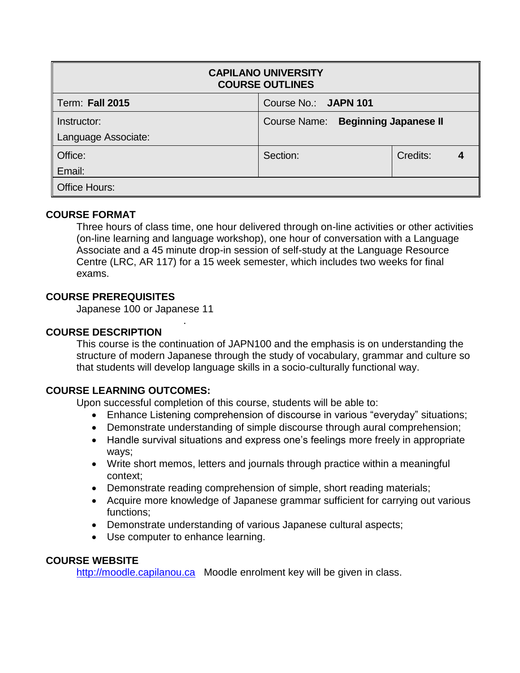| <b>CAPILANO UNIVERSITY</b><br><b>COURSE OUTLINES</b> |                                    |          |  |  |  |  |
|------------------------------------------------------|------------------------------------|----------|--|--|--|--|
| <b>Term: Fall 2015</b>                               | Course No.: JAPN 101               |          |  |  |  |  |
| Instructor:                                          | Course Name: Beginning Japanese II |          |  |  |  |  |
| Language Associate:                                  |                                    |          |  |  |  |  |
| Office:                                              | Section:                           | Credits: |  |  |  |  |
| Email:                                               |                                    |          |  |  |  |  |
| <b>Office Hours:</b>                                 |                                    |          |  |  |  |  |

# **COURSE FORMAT**

Three hours of class time, one hour delivered through on-line activities or other activities (on-line learning and language workshop), one hour of conversation with a Language Associate and a 45 minute drop-in session of self-study at the Language Resource Centre (LRC, AR 117) for a 15 week semester, which includes two weeks for final exams.

## **COURSE PREREQUISITES**

Japanese 100 or Japanese 11

.

# **COURSE DESCRIPTION**

This course is the continuation of JAPN100 and the emphasis is on understanding the structure of modern Japanese through the study of vocabulary, grammar and culture so that students will develop language skills in a socio-culturally functional way.

## **COURSE LEARNING OUTCOMES:**

Upon successful completion of this course, students will be able to:

- Enhance Listening comprehension of discourse in various "everyday" situations;
- Demonstrate understanding of simple discourse through aural comprehension;
- Handle survival situations and express one's feelings more freely in appropriate ways;
- Write short memos, letters and journals through practice within a meaningful context;
- Demonstrate reading comprehension of simple, short reading materials;
- Acquire more knowledge of Japanese grammar sufficient for carrying out various functions;
- Demonstrate understanding of various Japanese cultural aspects;
- Use computer to enhance learning.

## **COURSE WEBSITE**

[http://moodle.capilanou.ca](http://moodle.capilanou.ca/) Moodle enrolment key will be given in class.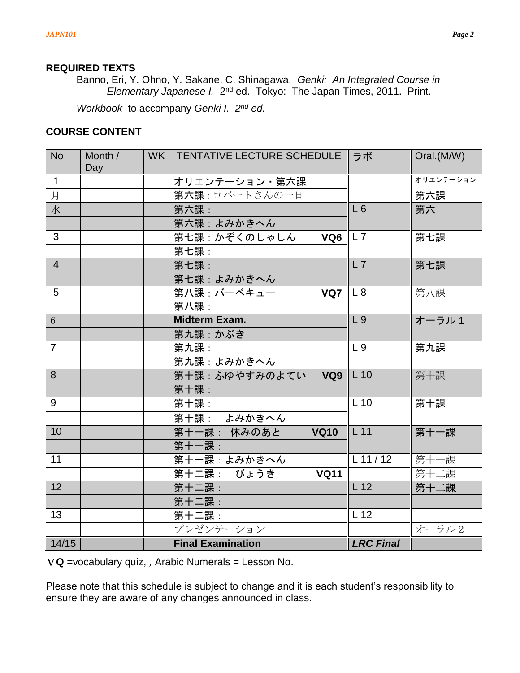### **REQUIRED TEXTS**

Banno, Eri, Y. Ohno, Y. Sakane, C. Shinagawa. *Genki: An Integrated Course in*  Elementary Japanese *I.* 2<sup>nd</sup> ed. Tokyo: The Japan Times, 2011. Print.

*Workbook* to accompany *Genki I. 2nd ed.*

## **COURSE CONTENT**

| <b>No</b>      | Month /<br>Day | WK   TENTATIVE LECTURE SCHEDULE   ラボ |                  | Oral.(M/W) |
|----------------|----------------|--------------------------------------|------------------|------------|
| $\mathbf{1}$   |                | オリエンテーション・第六課                        |                  | オリエンテーション  |
| 月              |                | 第六課:ロバートさんの一日                        |                  | 第六課        |
| 水              |                | 第六課:                                 | L6               | 第六         |
|                |                | 第六課:よみかきへん                           |                  |            |
| $\overline{3}$ |                | 第七課:かぞくのしゃしん<br>VQ <sub>6</sub>      | LL7              | 第七課        |
|                |                | 第七課:                                 |                  |            |
| $\overline{4}$ |                | 第七課:                                 | L7               | 第七課        |
|                |                | 第七課:よみかきへん                           |                  |            |
| 5              |                | 第八課:バーベキュー<br>VQ7                    | L8               | 第八課        |
|                |                | 第八課:                                 |                  |            |
| $6\phantom{a}$ |                | <b>Midterm Exam.</b>                 | L <sub>9</sub>   | オーラル1      |
|                |                | 第九課:かぶき                              |                  |            |
| $\overline{7}$ |                | 第九課:                                 | L <sub>9</sub>   | 第九課        |
|                |                | 第九課: よみかきへん                          |                  |            |
| 8              |                | 第十課: ふゆやすみのよてい VQ9                   | $L_{10}$         | 第十課        |
|                |                | 第十課:                                 |                  |            |
| 9              |                | 第十課:                                 | $L$ 10           | 第十課        |
|                |                | 第十課: よみかきへん                          |                  |            |
| 10             |                | 第十一課: 休みのあと<br><b>VQ10</b>           | L11              | 第十一課       |
|                |                | 第十一課:                                |                  |            |
| 11             |                | 第十一課: よみかきへん                         | $L$ 11 / 12      | 第十一課       |
|                |                | 第十二課: びょうき<br><b>VQ11</b>            |                  | 第十二課       |
| 12             |                | 第十二課:                                | L 12             | 第十二課       |
|                |                | 第十二課:                                |                  |            |
| 13             |                | 第十二課:                                | L 12             |            |
|                |                | プレゼンテーション                            |                  | オーラル2      |
| 14/15          |                | <b>Final Examination</b>             | <b>LRC Final</b> |            |

V**Q** =vocabulary quiz, *,* Arabic Numerals = Lesson No.

Please note that this schedule is subject to change and it is each student's responsibility to ensure they are aware of any changes announced in class.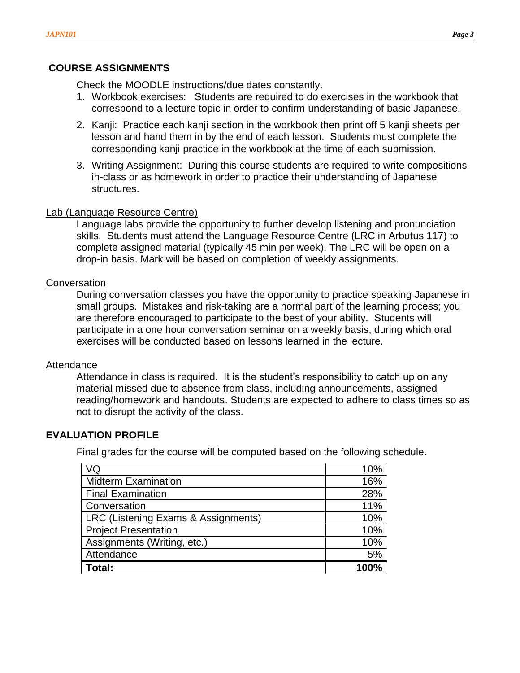## **COURSE ASSIGNMENTS**

Check the MOODLE instructions/due dates constantly.

- 1. Workbook exercises: Students are required to do exercises in the workbook that correspond to a lecture topic in order to confirm understanding of basic Japanese.
- 2. Kanji: Practice each kanji section in the workbook then print off 5 kanji sheets per lesson and hand them in by the end of each lesson. Students must complete the corresponding kanji practice in the workbook at the time of each submission.
- 3. Writing Assignment: During this course students are required to write compositions in-class or as homework in order to practice their understanding of Japanese structures.

### Lab (Language Resource Centre)

Language labs provide the opportunity to further develop listening and pronunciation skills. Students must attend the Language Resource Centre (LRC in Arbutus 117) to complete assigned material (typically 45 min per week). The LRC will be open on a drop-in basis. Mark will be based on completion of weekly assignments.

### **Conversation**

During conversation classes you have the opportunity to practice speaking Japanese in small groups. Mistakes and risk-taking are a normal part of the learning process; you are therefore encouraged to participate to the best of your ability. Students will participate in a one hour conversation seminar on a weekly basis, during which oral exercises will be conducted based on lessons learned in the lecture.

#### **Attendance**

Attendance in class is required. It is the student's responsibility to catch up on any material missed due to absence from class, including announcements, assigned reading/homework and handouts. Students are expected to adhere to class times so as not to disrupt the activity of the class.

### **EVALUATION PROFILE**

Final grades for the course will be computed based on the following schedule.

| VQ                                  | 10% |
|-------------------------------------|-----|
| <b>Midterm Examination</b>          | 16% |
| <b>Final Examination</b>            | 28% |
| Conversation                        | 11% |
| LRC (Listening Exams & Assignments) | 10% |
| <b>Project Presentation</b>         | 10% |
| Assignments (Writing, etc.)         | 10% |
| Attendance                          | 5%  |
| Total:                              |     |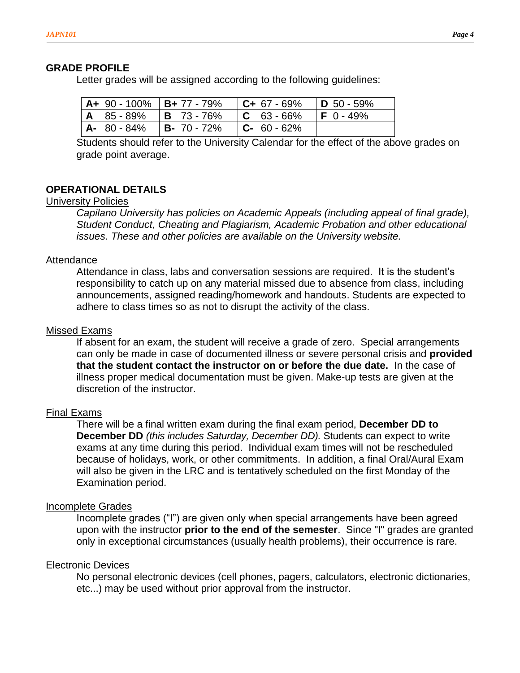#### **GRADE PROFILE**

Letter grades will be assigned according to the following guidelines:

|  | $\vert$ A+ 90 - 100% $\vert$ B+ 77 - 79% $\vert$ C+ 67 - 69% $\vert$ D 50 - 59% |  |
|--|---------------------------------------------------------------------------------|--|
|  | $ $ A $ $ 85 - 89% $ $ B $ $ 73 - 76% $ $ C $ $ 63 - 66% $ $ F $ $ 0 - 49%      |  |
|  | $ $ A- 80 - 84% $ $ B- 70 - 72% $ $ C- 60 - 62%                                 |  |

Students should refer to the University Calendar for the effect of the above grades on grade point average.

### **OPERATIONAL DETAILS**

### University Policies

*Capilano University has policies on Academic Appeals (including appeal of final grade), Student Conduct, Cheating and Plagiarism, Academic Probation and other educational issues. These and other policies are available on the University website.* 

#### Attendance

Attendance in class, labs and conversation sessions are required. It is the student's responsibility to catch up on any material missed due to absence from class, including announcements, assigned reading/homework and handouts. Students are expected to adhere to class times so as not to disrupt the activity of the class.

#### Missed Exams

If absent for an exam, the student will receive a grade of zero. Special arrangements can only be made in case of documented illness or severe personal crisis and **provided that the student contact the instructor on or before the due date.** In the case of illness proper medical documentation must be given. Make-up tests are given at the discretion of the instructor.

#### Final Exams

There will be a final written exam during the final exam period, **December DD to December DD** *(this includes Saturday, December DD).* Students can expect to write exams at any time during this period. Individual exam times will not be rescheduled because of holidays, work, or other commitments. In addition, a final Oral/Aural Exam will also be given in the LRC and is tentatively scheduled on the first Monday of the Examination period.

### Incomplete Grades

Incomplete grades ("I") are given only when special arrangements have been agreed upon with the instructor **prior to the end of the semester**. Since "I" grades are granted only in exceptional circumstances (usually health problems), their occurrence is rare.

#### Electronic Devices

No personal electronic devices (cell phones, pagers, calculators, electronic dictionaries, etc...) may be used without prior approval from the instructor.